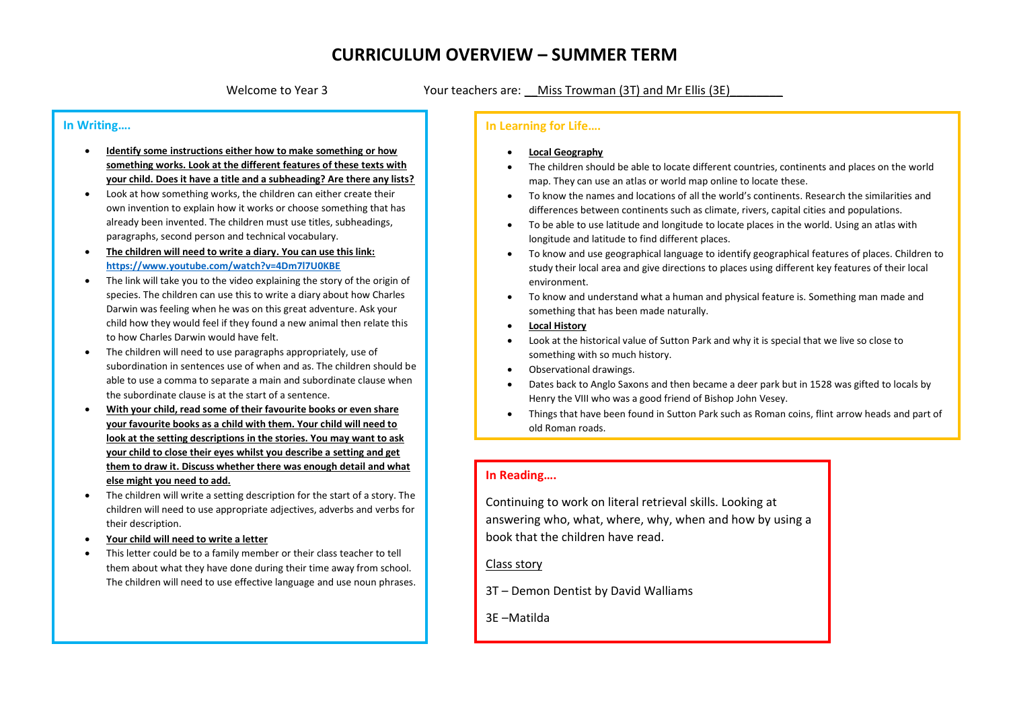Welcome to Year 3 Your teachers are: \_Miss Trowman (3T) and Mr Ellis (3E)

#### **In Writing….**

- **Identify some instructions either how to make something or how something works. Look at the different features of these texts with your child. Does it have a title and a subheading? Are there any lists?**
- Look at how something works, the children can either create their own invention to explain how it works or choose something that has already been invented. The children must use titles, subheadings, paragraphs, second person and technical vocabulary.
- **The children will need to write a diary. You can use this link: <https://www.youtube.com/watch?v=4Dm7l7U0KBE>**
- The link will take you to the video explaining the story of the origin of species. The children can use this to write a diary about how Charles Darwin was feeling when he was on this great adventure. Ask your child how they would feel if they found a new animal then relate this to how Charles Darwin would have felt.
- The children will need to use paragraphs appropriately, use of subordination in sentences use of when and as. The children should be able to use a comma to separate a main and subordinate clause when the subordinate clause is at the start of a sentence.
- **With your child, read some of their favourite books or even share your favourite books as a child with them. Your child will need to look at the setting descriptions in the stories. You may want to ask your child to close their eyes whilst you describe a setting and get them to draw it. Discuss whether there was enough detail and what else might you need to add.**
- The children will write a setting description for the start of a story. The children will need to use appropriate adjectives, adverbs and verbs for their description.
- **Your child will need to write a letter**
- This letter could be to a family member or their class teacher to tell them about what they have done during their time away from school. The children will need to use effective language and use noun phrases.

### **In Learning for Life….**

- **Local Geography**
- The children should be able to locate different countries, continents and places on the world map. They can use an atlas or world map online to locate these.
- To know the names and locations of all the world's continents. Research the similarities and differences between continents such as climate, rivers, capital cities and populations.
- To be able to use latitude and longitude to locate places in the world. Using an atlas with longitude and latitude to find different places.
- To know and use geographical language to identify geographical features of places. Children to study their local area and give directions to places using different key features of their local environment.
- To know and understand what a human and physical feature is. Something man made and something that has been made naturally.
- **Local History**
- Look at the historical value of Sutton Park and why it is special that we live so close to something with so much history.
- Observational drawings.
- Dates back to Anglo Saxons and then became a deer park but in 1528 was gifted to locals by Henry the VIII who was a good friend of Bishop John Vesey.
- Things that have been found in Sutton Park such as Roman coins, flint arrow heads and part of old Roman roads.

#### **In Reading….**

Continuing to work on literal retrieval skills. Looking at answering who, what, where, why, when and how by using a book that the children have read.

#### Class story

- 3T Demon Dentist by David Walliams
- 3E –Matilda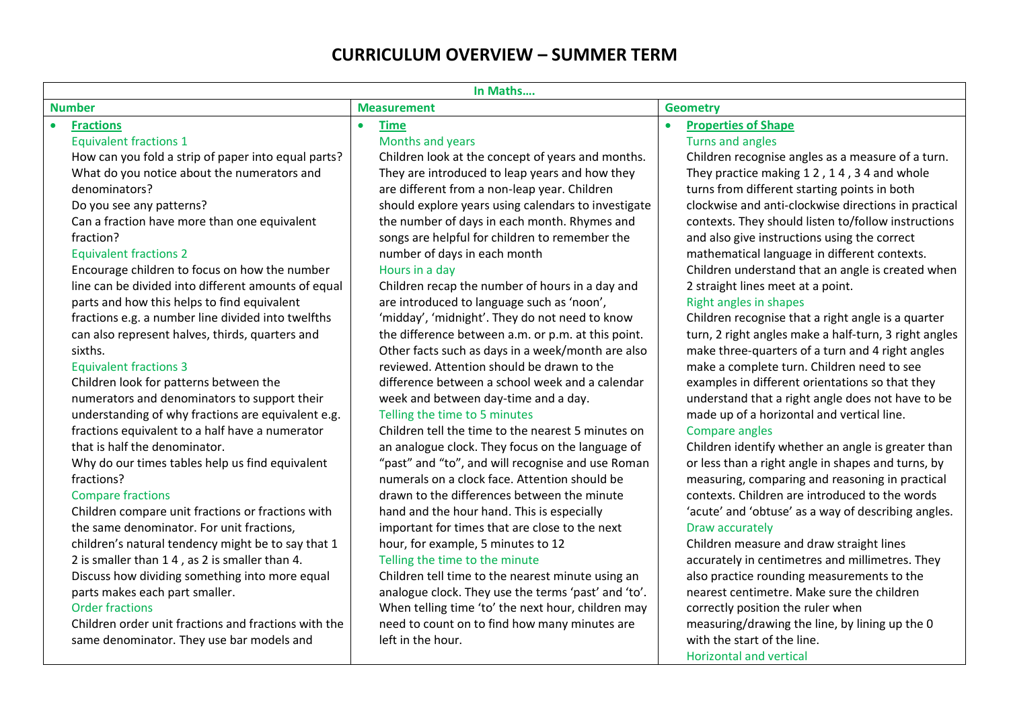| In Maths                                                                                                                                                                                                                                                                                                                                                                                                                                                                                                                                                                                                                                                                                                                                                                                                                                                                                                                                                                                                                                                                                                                                                                                                                                                                                                                                                                     |                                                                                                                                                                                                                                                                                                                                                                                                                                                                                                                                                                                                                                                                                                                                                                                                                                                                                                                                                                                                                                                                                                                                                                                                                                                                                                                                                                                                                                                                                                                                       |                                                                                                                                                                                                                                                                                                                                                                                                                                                                                                                                                                                                                                                                                                                                                                                                                                                                                                                                                                                                                                                                                                                                                                                                                                                                                                                                                                                                                                                                                                                                                                                         |  |  |  |  |
|------------------------------------------------------------------------------------------------------------------------------------------------------------------------------------------------------------------------------------------------------------------------------------------------------------------------------------------------------------------------------------------------------------------------------------------------------------------------------------------------------------------------------------------------------------------------------------------------------------------------------------------------------------------------------------------------------------------------------------------------------------------------------------------------------------------------------------------------------------------------------------------------------------------------------------------------------------------------------------------------------------------------------------------------------------------------------------------------------------------------------------------------------------------------------------------------------------------------------------------------------------------------------------------------------------------------------------------------------------------------------|---------------------------------------------------------------------------------------------------------------------------------------------------------------------------------------------------------------------------------------------------------------------------------------------------------------------------------------------------------------------------------------------------------------------------------------------------------------------------------------------------------------------------------------------------------------------------------------------------------------------------------------------------------------------------------------------------------------------------------------------------------------------------------------------------------------------------------------------------------------------------------------------------------------------------------------------------------------------------------------------------------------------------------------------------------------------------------------------------------------------------------------------------------------------------------------------------------------------------------------------------------------------------------------------------------------------------------------------------------------------------------------------------------------------------------------------------------------------------------------------------------------------------------------|-----------------------------------------------------------------------------------------------------------------------------------------------------------------------------------------------------------------------------------------------------------------------------------------------------------------------------------------------------------------------------------------------------------------------------------------------------------------------------------------------------------------------------------------------------------------------------------------------------------------------------------------------------------------------------------------------------------------------------------------------------------------------------------------------------------------------------------------------------------------------------------------------------------------------------------------------------------------------------------------------------------------------------------------------------------------------------------------------------------------------------------------------------------------------------------------------------------------------------------------------------------------------------------------------------------------------------------------------------------------------------------------------------------------------------------------------------------------------------------------------------------------------------------------------------------------------------------------|--|--|--|--|
| <b>Number</b>                                                                                                                                                                                                                                                                                                                                                                                                                                                                                                                                                                                                                                                                                                                                                                                                                                                                                                                                                                                                                                                                                                                                                                                                                                                                                                                                                                | <b>Measurement</b>                                                                                                                                                                                                                                                                                                                                                                                                                                                                                                                                                                                                                                                                                                                                                                                                                                                                                                                                                                                                                                                                                                                                                                                                                                                                                                                                                                                                                                                                                                                    | <b>Geometry</b>                                                                                                                                                                                                                                                                                                                                                                                                                                                                                                                                                                                                                                                                                                                                                                                                                                                                                                                                                                                                                                                                                                                                                                                                                                                                                                                                                                                                                                                                                                                                                                         |  |  |  |  |
| <b>Fractions</b><br><b>Equivalent fractions 1</b><br>How can you fold a strip of paper into equal parts?<br>What do you notice about the numerators and<br>denominators?<br>Do you see any patterns?<br>Can a fraction have more than one equivalent<br>fraction?<br><b>Equivalent fractions 2</b><br>Encourage children to focus on how the number<br>line can be divided into different amounts of equal<br>parts and how this helps to find equivalent<br>fractions e.g. a number line divided into twelfths<br>can also represent halves, thirds, quarters and<br>sixths.<br><b>Equivalent fractions 3</b><br>Children look for patterns between the<br>numerators and denominators to support their<br>understanding of why fractions are equivalent e.g.<br>fractions equivalent to a half have a numerator<br>that is half the denominator.<br>Why do our times tables help us find equivalent<br>fractions?<br><b>Compare fractions</b><br>Children compare unit fractions or fractions with<br>the same denominator. For unit fractions,<br>children's natural tendency might be to say that 1<br>2 is smaller than 1 4, as 2 is smaller than 4.<br>Discuss how dividing something into more equal<br>parts makes each part smaller.<br><b>Order fractions</b><br>Children order unit fractions and fractions with the<br>same denominator. They use bar models and | <b>Time</b><br>$\bullet$<br>Months and years<br>Children look at the concept of years and months.<br>They are introduced to leap years and how they<br>are different from a non-leap year. Children<br>should explore years using calendars to investigate<br>the number of days in each month. Rhymes and<br>songs are helpful for children to remember the<br>number of days in each month<br>Hours in a day<br>Children recap the number of hours in a day and<br>are introduced to language such as 'noon',<br>'midday', 'midnight'. They do not need to know<br>the difference between a.m. or p.m. at this point.<br>Other facts such as days in a week/month are also<br>reviewed. Attention should be drawn to the<br>difference between a school week and a calendar<br>week and between day-time and a day.<br>Telling the time to 5 minutes<br>Children tell the time to the nearest 5 minutes on<br>an analogue clock. They focus on the language of<br>"past" and "to", and will recognise and use Roman<br>numerals on a clock face. Attention should be<br>drawn to the differences between the minute<br>hand and the hour hand. This is especially<br>important for times that are close to the next<br>hour, for example, 5 minutes to 12<br>Telling the time to the minute<br>Children tell time to the nearest minute using an<br>analogue clock. They use the terms 'past' and 'to'.<br>When telling time 'to' the next hour, children may<br>need to count on to find how many minutes are<br>left in the hour. | <b>Properties of Shape</b><br>$\bullet$<br>Turns and angles<br>Children recognise angles as a measure of a turn.<br>They practice making 12, 14, 34 and whole<br>turns from different starting points in both<br>clockwise and anti-clockwise directions in practical<br>contexts. They should listen to/follow instructions<br>and also give instructions using the correct<br>mathematical language in different contexts.<br>Children understand that an angle is created when<br>2 straight lines meet at a point.<br>Right angles in shapes<br>Children recognise that a right angle is a quarter<br>turn, 2 right angles make a half-turn, 3 right angles<br>make three-quarters of a turn and 4 right angles<br>make a complete turn. Children need to see<br>examples in different orientations so that they<br>understand that a right angle does not have to be<br>made up of a horizontal and vertical line.<br>Compare angles<br>Children identify whether an angle is greater than<br>or less than a right angle in shapes and turns, by<br>measuring, comparing and reasoning in practical<br>contexts. Children are introduced to the words<br>'acute' and 'obtuse' as a way of describing angles.<br>Draw accurately<br>Children measure and draw straight lines<br>accurately in centimetres and millimetres. They<br>also practice rounding measurements to the<br>nearest centimetre. Make sure the children<br>correctly position the ruler when<br>measuring/drawing the line, by lining up the 0<br>with the start of the line.<br><b>Horizontal and vertical</b> |  |  |  |  |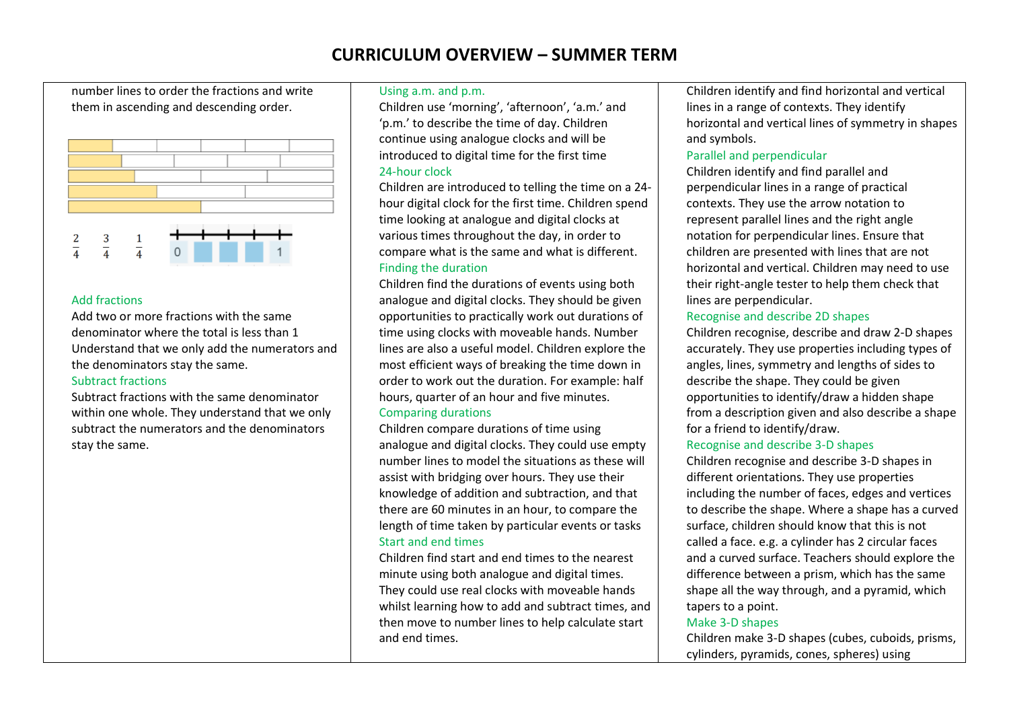number lines to order the fractions and write them in ascending and descending order.



### Add fractions

Add two or more fractions with the same denominator where the total is less than 1 Understand that we only add the numerators and the denominators stay the same.

### Subtract fractions

Subtract fractions with the same denominator within one whole. They understand that we only subtract the numerators and the denominators stay the same.

#### Using a.m. and p.m.

Children use 'morning', 'afternoon', 'a.m.' and 'p.m.' to describe the time of day. Children continue using analogue clocks and will be introduced to digital time for the first time 24-hour clock

Children are introduced to telling the time on a 24 hour digital clock for the first time. Children spend time looking at analogue and digital clocks at various times throughout the day, in order to compare what is the same and what is different. Finding the duration

Children find the durations of events using both analogue and digital clocks. They should be given opportunities to practically work out durations of time using clocks with moveable hands. Number lines are also a useful model. Children explore the most efficient ways of breaking the time down in order to work out the duration. For example: half hours, quarter of an hour and five minutes. Comparing durations

### Children compare durations of time using analogue and digital clocks. They could use empty number lines to model the situations as these will assist with bridging over hours. They use their knowledge of addition and subtraction, and that there are 60 minutes in an hour, to compare the length of time taken by particular events or tasks

### Start and end times

Children find start and end times to the nearest minute using both analogue and digital times. They could use real clocks with moveable hands whilst learning how to add and subtract times, and then move to number lines to help calculate start and end times.

Children identify and find horizontal and vertical lines in a range of contexts. They identify horizontal and vertical lines of symmetry in shapes and symbols.

#### Parallel and perpendicular

Children identify and find parallel and perpendicular lines in a range of practical contexts. They use the arrow notation to represent parallel lines and the right angle notation for perpendicular lines. Ensure that children are presented with lines that are not horizontal and vertical. Children may need to use their right-angle tester to help them check that lines are perpendicular.

### Recognise and describe 2D shapes

Children recognise, describe and draw 2-D shapes accurately. They use properties including types of angles, lines, symmetry and lengths of sides to describe the shape. They could be given opportunities to identify/draw a hidden shape from a description given and also describe a shape for a friend to identify/draw.

### Recognise and describe 3-D shapes

Children recognise and describe 3-D shapes in different orientations. They use properties including the number of faces, edges and vertices to describe the shape. Where a shape has a curved surface, children should know that this is not called a face. e.g. a cylinder has 2 circular faces and a curved surface. Teachers should explore the difference between a prism, which has the same shape all the way through, and a pyramid, which tapers to a point.

### Make 3-D shapes

Children make 3-D shapes (cubes, cuboids, prisms, cylinders, pyramids, cones, spheres) using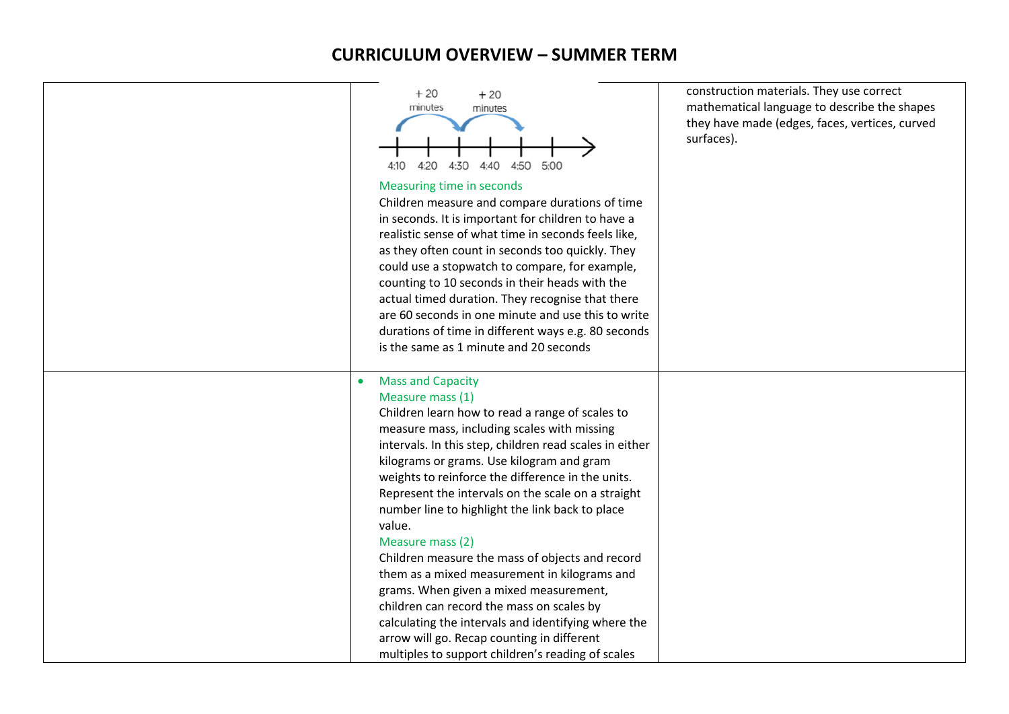| $+20$<br>$+20$<br>minutes<br>minutes<br>4:30<br>4:10<br>4:20<br>4:40<br>4:50<br>5:00<br>Measuring time in seconds<br>Children measure and compare durations of time<br>in seconds. It is important for children to have a<br>realistic sense of what time in seconds feels like,<br>as they often count in seconds too quickly. They<br>could use a stopwatch to compare, for example,<br>counting to 10 seconds in their heads with the<br>actual timed duration. They recognise that there<br>are 60 seconds in one minute and use this to write<br>durations of time in different ways e.g. 80 seconds<br>is the same as 1 minute and 20 seconds                                                                                                                                                                 | construction materials. They use correct<br>mathematical language to describe the shapes<br>they have made (edges, faces, vertices, curved<br>surfaces). |
|---------------------------------------------------------------------------------------------------------------------------------------------------------------------------------------------------------------------------------------------------------------------------------------------------------------------------------------------------------------------------------------------------------------------------------------------------------------------------------------------------------------------------------------------------------------------------------------------------------------------------------------------------------------------------------------------------------------------------------------------------------------------------------------------------------------------|----------------------------------------------------------------------------------------------------------------------------------------------------------|
| <b>Mass and Capacity</b><br>$\bullet$<br>Measure mass (1)<br>Children learn how to read a range of scales to<br>measure mass, including scales with missing<br>intervals. In this step, children read scales in either<br>kilograms or grams. Use kilogram and gram<br>weights to reinforce the difference in the units.<br>Represent the intervals on the scale on a straight<br>number line to highlight the link back to place<br>value.<br>Measure mass (2)<br>Children measure the mass of objects and record<br>them as a mixed measurement in kilograms and<br>grams. When given a mixed measurement,<br>children can record the mass on scales by<br>calculating the intervals and identifying where the<br>arrow will go. Recap counting in different<br>multiples to support children's reading of scales |                                                                                                                                                          |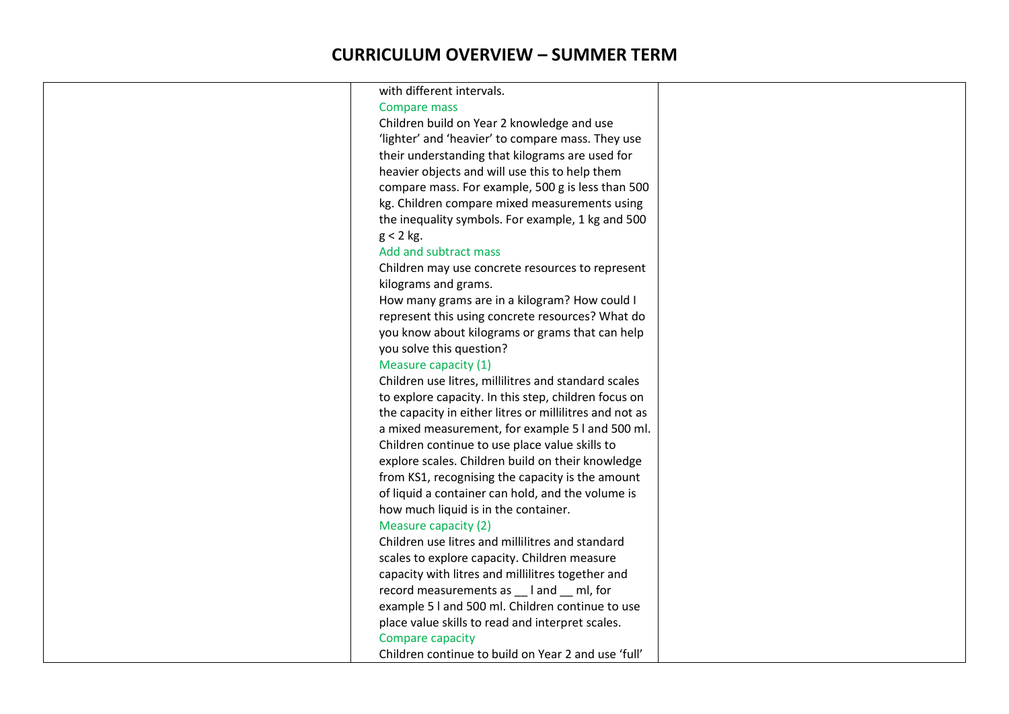| with different intervals.                               |
|---------------------------------------------------------|
| Compare mass                                            |
| Children build on Year 2 knowledge and use              |
| 'lighter' and 'heavier' to compare mass. They use       |
| their understanding that kilograms are used for         |
| heavier objects and will use this to help them          |
| compare mass. For example, 500 g is less than 500       |
| kg. Children compare mixed measurements using           |
| the inequality symbols. For example, 1 kg and 500       |
| $g < 2$ kg.                                             |
| Add and subtract mass                                   |
| Children may use concrete resources to represent        |
| kilograms and grams.                                    |
| How many grams are in a kilogram? How could I           |
| represent this using concrete resources? What do        |
| you know about kilograms or grams that can help         |
| you solve this question?                                |
| Measure capacity (1)                                    |
| Children use litres, millilitres and standard scales    |
| to explore capacity. In this step, children focus on    |
| the capacity in either litres or millilitres and not as |
| a mixed measurement, for example 5 l and 500 ml.        |
| Children continue to use place value skills to          |
| explore scales. Children build on their knowledge       |
| from KS1, recognising the capacity is the amount        |
| of liquid a container can hold, and the volume is       |
| how much liquid is in the container.                    |
| Measure capacity (2)                                    |
| Children use litres and millilitres and standard        |
| scales to explore capacity. Children measure            |
| capacity with litres and millilitres together and       |
| record measurements as __ l and __ ml, for              |
| example 5 I and 500 ml. Children continue to use        |
| place value skills to read and interpret scales.        |
| Compare capacity                                        |
| Children continue to build on Year 2 and use 'full'     |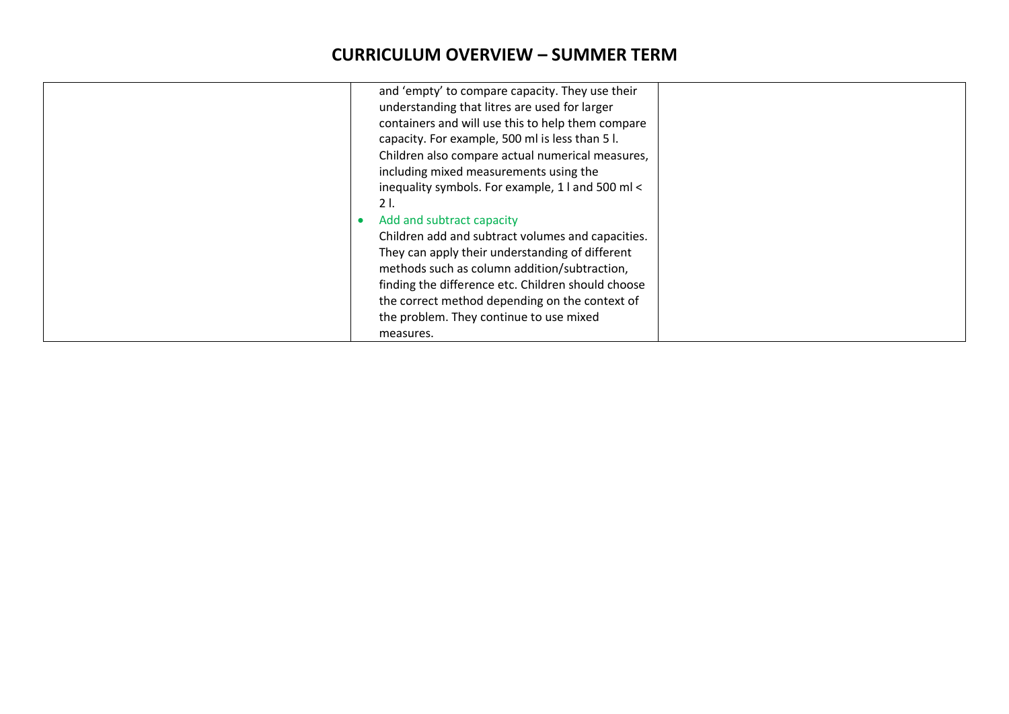| They can apply their understanding of different<br>methods such as column addition/subtraction,<br>finding the difference etc. Children should choose<br>the correct method depending on the context of<br>the problem. They continue to use mixed<br>measures. |
|-----------------------------------------------------------------------------------------------------------------------------------------------------------------------------------------------------------------------------------------------------------------|
|-----------------------------------------------------------------------------------------------------------------------------------------------------------------------------------------------------------------------------------------------------------------|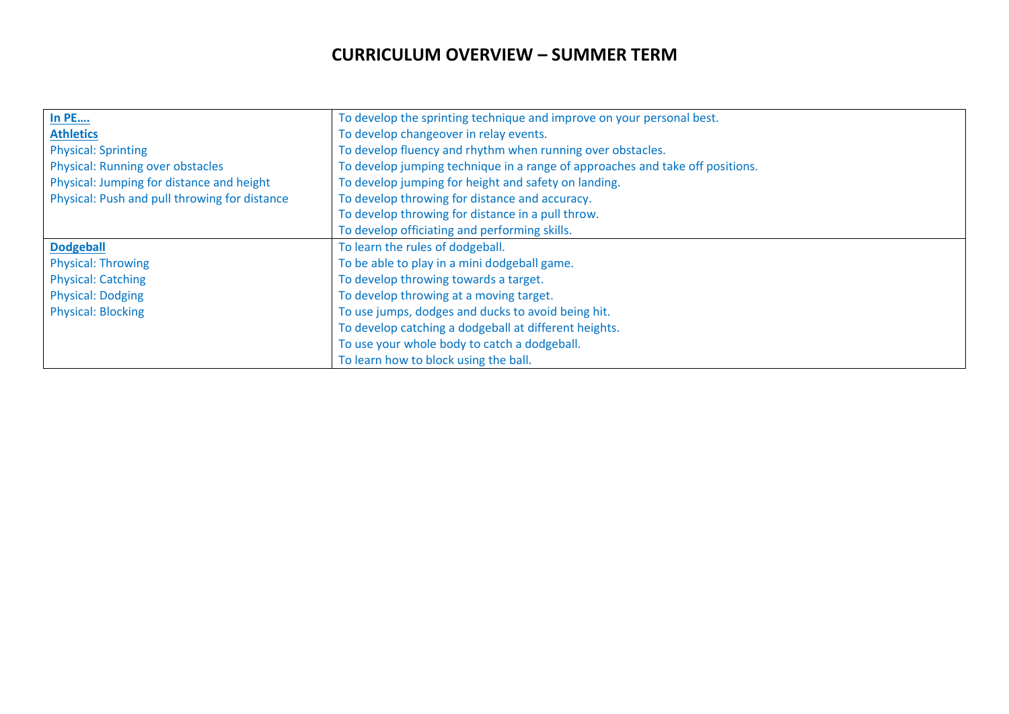| <b>In PE</b>                                  | To develop the sprinting technique and improve on your personal best.         |  |
|-----------------------------------------------|-------------------------------------------------------------------------------|--|
| <b>Athletics</b>                              | To develop changeover in relay events.                                        |  |
| <b>Physical: Sprinting</b>                    | To develop fluency and rhythm when running over obstacles.                    |  |
| <b>Physical: Running over obstacles</b>       | To develop jumping technique in a range of approaches and take off positions. |  |
| Physical: Jumping for distance and height     | To develop jumping for height and safety on landing.                          |  |
| Physical: Push and pull throwing for distance | To develop throwing for distance and accuracy.                                |  |
|                                               | To develop throwing for distance in a pull throw.                             |  |
|                                               | To develop officiating and performing skills.                                 |  |
| <b>Dodgeball</b>                              | To learn the rules of dodgeball.                                              |  |
| <b>Physical: Throwing</b>                     | To be able to play in a mini dodgeball game.                                  |  |
| <b>Physical: Catching</b>                     | To develop throwing towards a target.                                         |  |
| <b>Physical: Dodging</b>                      | To develop throwing at a moving target.                                       |  |
| <b>Physical: Blocking</b>                     | To use jumps, dodges and ducks to avoid being hit.                            |  |
|                                               | To develop catching a dodgeball at different heights.                         |  |
|                                               | To use your whole body to catch a dodgeball.                                  |  |
|                                               | To learn how to block using the ball.                                         |  |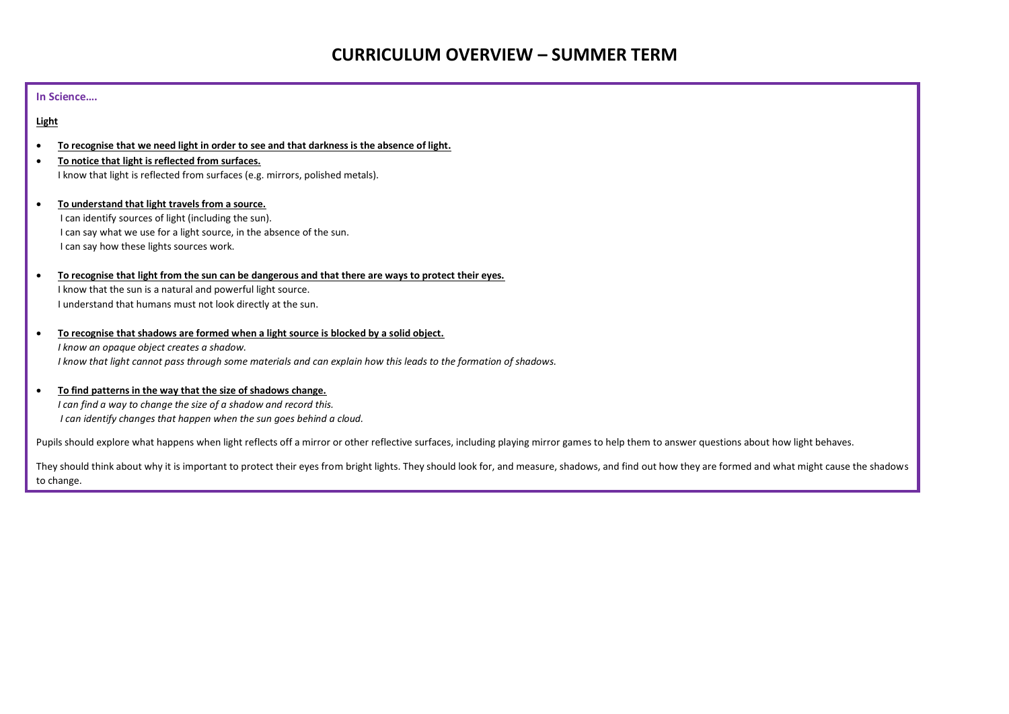#### **In Science….**

#### **Light**

- **To recognise that we need light in order to see and that darkness is the absence of light.**
- **To notice that light is reflected from surfaces.** I know that light is reflected from surfaces (e.g. mirrors, polished metals).
- **To understand that light travels from a source.** I can identify sources of light (including the sun). I can say what we use for a light source, in the absence of the sun. I can say how these lights sources work.
- **To recognise that light from the sun can be dangerous and that there are ways to protect their eyes.** I know that the sun is a natural and powerful light source. I understand that humans must not look directly at the sun.
- **To recognise that shadows are formed when a light source is blocked by a solid object.** *I know an opaque object creates a shadow. I know that light cannot pass through some materials and can explain how this leads to the formation of shadows.*
- **To find patterns in the way that the size of shadows change.**  *I can find a way to change the size of a shadow and record this. I can identify changes that happen when the sun goes behind a cloud.*

Pupils should explore what happens when light reflects off a mirror or other reflective surfaces, including playing mirror games to help them to answer questions about how light behaves.

They should think about why it is important to protect their eyes from bright lights. They should look for, and measure, shadows, and find out how they are formed and what might cause the shadows to change.